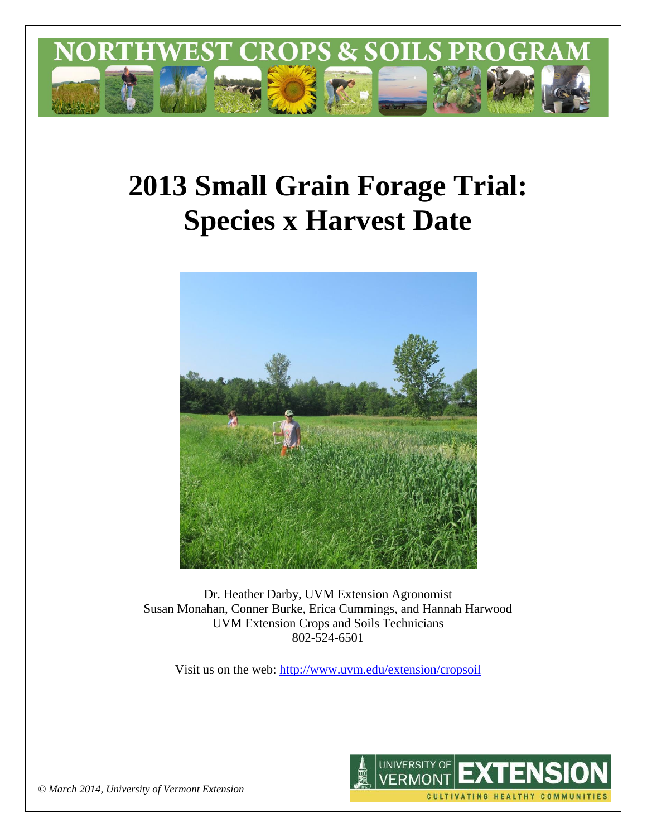

# **2013 Small Grain Forage Trial: Species x Harvest Date**



Dr. Heather Darby, UVM Extension Agronomist Susan Monahan, Conner Burke, Erica Cummings, and Hannah Harwood UVM Extension Crops and Soils Technicians 802-524-6501

Visit us on the web: <http://www.uvm.edu/extension/cropsoil>



*© March 2014, University of Vermont Extension*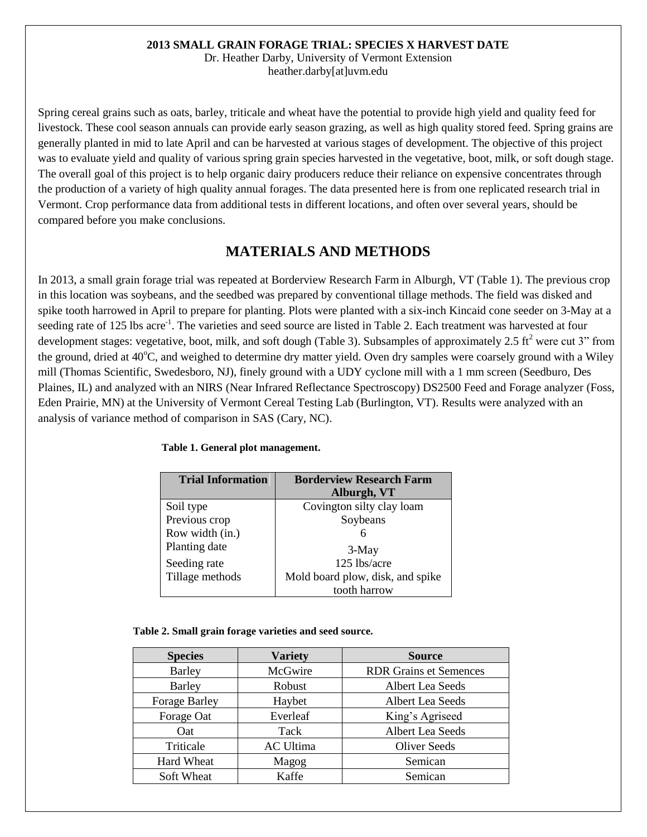#### **2013 SMALL GRAIN FORAGE TRIAL: SPECIES X HARVEST DATE**

Dr. Heather Darby, University of Vermont Extension heather.darby[at]uvm.edu

Spring cereal grains such as oats, barley, triticale and wheat have the potential to provide high yield and quality feed for livestock. These cool season annuals can provide early season grazing, as well as high quality stored feed. Spring grains are generally planted in mid to late April and can be harvested at various stages of development. The objective of this project was to evaluate yield and quality of various spring grain species harvested in the vegetative, boot, milk, or soft dough stage. The overall goal of this project is to help organic dairy producers reduce their reliance on expensive concentrates through the production of a variety of high quality annual forages. The data presented here is from one replicated research trial in Vermont. Crop performance data from additional tests in different locations, and often over several years, should be compared before you make conclusions.

# **MATERIALS AND METHODS**

In 2013, a small grain forage trial was repeated at Borderview Research Farm in Alburgh, VT (Table 1). The previous crop in this location was soybeans, and the seedbed was prepared by conventional tillage methods. The field was disked and spike tooth harrowed in April to prepare for planting. Plots were planted with a six-inch Kincaid cone seeder on 3-May at a seeding rate of 125 lbs acre<sup>-1</sup>. The varieties and seed source are listed in Table 2. Each treatment was harvested at four development stages: vegetative, boot, milk, and soft dough (Table 3). Subsamples of approximately 2.5 ft<sup>2</sup> were cut 3" from the ground, dried at  $40^{\circ}$ C, and weighed to determine dry matter yield. Oven dry samples were coarsely ground with a Wiley mill (Thomas Scientific, Swedesboro, NJ), finely ground with a UDY cyclone mill with a 1 mm screen (Seedburo, Des Plaines, IL) and analyzed with an NIRS (Near Infrared Reflectance Spectroscopy) DS2500 Feed and Forage analyzer (Foss, Eden Prairie, MN) at the University of Vermont Cereal Testing Lab (Burlington, VT). Results were analyzed with an analysis of variance method of comparison in SAS (Cary, NC).

| <b>Trial Information</b> | <b>Borderview Research Farm</b>  |
|--------------------------|----------------------------------|
|                          | Alburgh, VT                      |
| Soil type                | Covington silty clay loam        |
| Previous crop            | Soybeans                         |
| Row width (in.)          |                                  |
| Planting date            | $3-May$                          |
| Seeding rate             | 125 lbs/acre                     |
| Tillage methods          | Mold board plow, disk, and spike |
|                          | tooth harrow                     |

#### **Table 1. General plot management.**

#### **Table 2. Small grain forage varieties and seed source.**

| <b>Species</b>       | <b>Variety</b>   | <b>Source</b>                 |  |  |  |  |
|----------------------|------------------|-------------------------------|--|--|--|--|
| <b>Barley</b>        | McGwire          | <b>RDR Grains et Semences</b> |  |  |  |  |
| <b>Barley</b>        | Robust           | Albert Lea Seeds              |  |  |  |  |
| <b>Forage Barley</b> | Haybet           | Albert Lea Seeds              |  |  |  |  |
| Forage Oat           | Everleaf         | King's Agriseed               |  |  |  |  |
| Oat                  | Tack             | <b>Albert Lea Seeds</b>       |  |  |  |  |
| Triticale            | <b>AC Ultima</b> | <b>Oliver Seeds</b>           |  |  |  |  |
| <b>Hard Wheat</b>    | Magog            | Semican                       |  |  |  |  |
| Soft Wheat           | Kaffe            | Semican                       |  |  |  |  |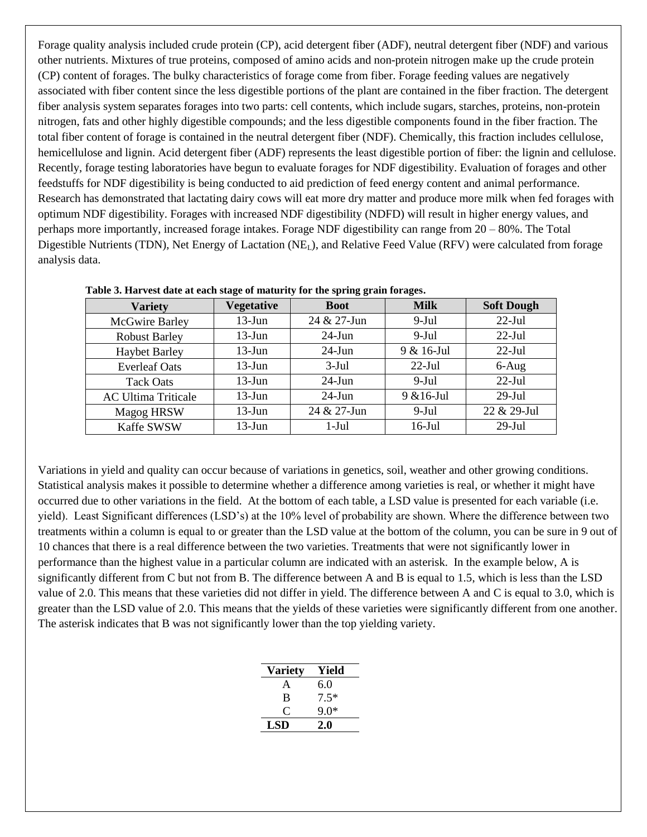Forage quality analysis included crude protein (CP), acid detergent fiber (ADF), neutral detergent fiber (NDF) and various other nutrients. Mixtures of true proteins, composed of amino acids and non-protein nitrogen make up the crude protein (CP) content of forages. The bulky characteristics of forage come from fiber. Forage feeding values are negatively associated with fiber content since the less digestible portions of the plant are contained in the fiber fraction. The detergent fiber analysis system separates forages into two parts: cell contents, which include sugars, starches, proteins, non-protein nitrogen, fats and other highly digestible compounds; and the less digestible components found in the fiber fraction. The total fiber content of forage is contained in the neutral detergent fiber (NDF). Chemically, this fraction includes cellulose, hemicellulose and lignin. Acid detergent fiber (ADF) represents the least digestible portion of fiber: the lignin and cellulose. Recently, forage testing laboratories have begun to evaluate forages for NDF digestibility. Evaluation of forages and other feedstuffs for NDF digestibility is being conducted to aid prediction of feed energy content and animal performance. Research has demonstrated that lactating dairy cows will eat more dry matter and produce more milk when fed forages with optimum NDF digestibility. Forages with increased NDF digestibility (NDFD) will result in higher energy values, and perhaps more importantly, increased forage intakes. Forage NDF digestibility can range from 20 – 80%. The Total Digestible Nutrients (TDN), Net Energy of Lactation ( $NE<sub>L</sub>$ ), and Relative Feed Value (RFV) were calculated from forage analysis data.

| <b>Variety</b>             | <b>Vegetative</b> | <b>Boot</b> | <b>Milk</b>   | <b>Soft Dough</b> |
|----------------------------|-------------------|-------------|---------------|-------------------|
| McGwire Barley             | $13-Jun$          | 24 & 27-Jun | $9-Jul$       | $22$ -Jul         |
| <b>Robust Barley</b>       | $13$ -Jun         | $24$ -Jun   | $9$ -Jul      | $22$ -Jul         |
| <b>Haybet Barley</b>       | $13$ -Jun         | $24$ -Jun   | 9 & 16-Jul    | $22$ -Jul         |
| <b>Everleaf Oats</b>       | $13-Jun$          | $3-Jul$     | $22$ -Jul     | $6-Aug$           |
| <b>Tack Oats</b>           | $13-Jun$          | $24$ -Jun   | $9$ -Jul      | $22-Jul$          |
| <b>AC Ultima Triticale</b> | $13-J$ un         | $24$ -Jun   | $9 & 16$ -Jul | $29$ -Jul         |
| <b>Magog HRSW</b>          | $13$ -Jun         | 24 & 27-Jun | $9-Jul$       | 22 & 29-Jul       |
| <b>Kaffe SWSW</b>          | $13-J$ un         | $1-Jul$     | $16$ -Jul     | $29$ -Jul         |

| Table 3. Harvest date at each stage of maturity for the spring grain forages. |  |  |  |
|-------------------------------------------------------------------------------|--|--|--|
|                                                                               |  |  |  |

Variations in yield and quality can occur because of variations in genetics, soil, weather and other growing conditions. Statistical analysis makes it possible to determine whether a difference among varieties is real, or whether it might have occurred due to other variations in the field. At the bottom of each table, a LSD value is presented for each variable (i.e. yield). Least Significant differences (LSD's) at the 10% level of probability are shown. Where the difference between two treatments within a column is equal to or greater than the LSD value at the bottom of the column, you can be sure in 9 out of 10 chances that there is a real difference between the two varieties. Treatments that were not significantly lower in performance than the highest value in a particular column are indicated with an asterisk. In the example below, A is significantly different from C but not from B. The difference between A and B is equal to 1.5, which is less than the LSD value of 2.0. This means that these varieties did not differ in yield. The difference between A and C is equal to 3.0, which is greater than the LSD value of 2.0. This means that the yields of these varieties were significantly different from one another. The asterisk indicates that B was not significantly lower than the top yielding variety.

| <b>Variety</b> | Yield  |
|----------------|--------|
| A              | 6.0    |
| B              | $7.5*$ |
| $\mathfrak{c}$ | 9.0*   |
| LSD            | 2.0    |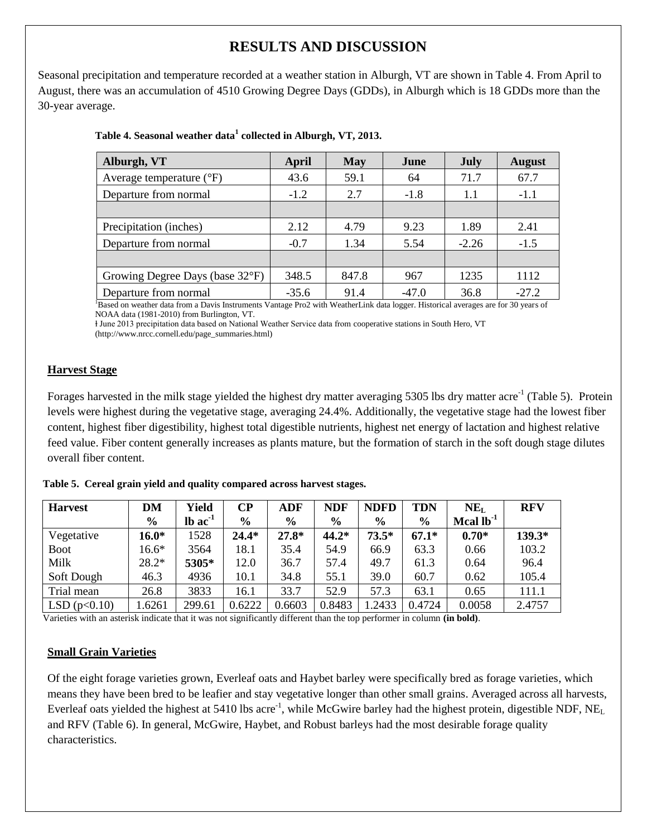# **RESULTS AND DISCUSSION**

Seasonal precipitation and temperature recorded at a weather station in Alburgh, VT are shown in Table 4. From April to August, there was an accumulation of 4510 Growing Degree Days (GDDs), in Alburgh which is 18 GDDs more than the 30-year average.

| Alburgh, VT                       | April   | <b>May</b> | June    | <b>July</b> | <b>August</b> |
|-----------------------------------|---------|------------|---------|-------------|---------------|
| Average temperature $(^{\circ}F)$ | 43.6    | 59.1       | 64      | 71.7        | 67.7          |
| Departure from normal             | $-1.2$  | 2.7        | $-1.8$  | 1.1         | $-1.1$        |
|                                   |         |            |         |             |               |
| Precipitation (inches)            | 2.12    | 4.79       | 9.23    | 1.89        | 2.41          |
| Departure from normal             | $-0.7$  | 1.34       | 5.54    | $-2.26$     | $-1.5$        |
|                                   |         |            |         |             |               |
| Growing Degree Days (base 32°F)   | 348.5   | 847.8      | 967     | 1235        | 1112          |
| Departure from normal             | $-35.6$ | 91.4       | $-47.0$ | 36.8        | $-27.2$       |

## **Table 4. Seasonal weather data<sup>1</sup> collected in Alburgh, VT, 2013.**

<sup>1</sup>Based on weather data from a Davis Instruments Vantage Pro2 with WeatherLink data logger. Historical averages are for 30 years of NOAA data (1981-2010) from Burlington, VT.

ⱡ June 2013 precipitation data based on National Weather Service data from cooperative stations in South Hero, VT (http://www.nrcc.cornell.edu/page\_summaries.html)

## **Harvest Stage**

Forages harvested in the milk stage yielded the highest dry matter averaging 5305 lbs dry matter acre<sup>-1</sup> (Table 5). Protein levels were highest during the vegetative stage, averaging 24.4%. Additionally, the vegetative stage had the lowest fiber content, highest fiber digestibility, highest total digestible nutrients, highest net energy of lactation and highest relative feed value. Fiber content generally increases as plants mature, but the formation of starch in the soft dough stage dilutes overall fiber content.

|  |  |  |  |  | Table 5. Cereal grain yield and quality compared across harvest stages. |  |
|--|--|--|--|--|-------------------------------------------------------------------------|--|
|--|--|--|--|--|-------------------------------------------------------------------------|--|

| <b>Harvest</b> | DΜ            | Yield                 | $\bf CP$ | ADF           | <b>NDF</b>    | <b>NDFD</b>   | <b>TDN</b>    | NE <sub>L</sub> | <b>RFV</b> |
|----------------|---------------|-----------------------|----------|---------------|---------------|---------------|---------------|-----------------|------------|
|                | $\frac{6}{6}$ | $lb$ ac <sup>-1</sup> | $\%$     | $\frac{0}{0}$ | $\frac{6}{9}$ | $\frac{0}{0}$ | $\frac{6}{9}$ | Mcal $lb^{-1}$  |            |
| Vegetative     | $16.0*$       | 1528                  | $24.4*$  | $27.8*$       | $44.2*$       | $73.5*$       | $67.1*$       | $0.70*$         | 139.3*     |
| <b>Boot</b>    | $16.6*$       | 3564                  | 18.1     | 35.4          | 54.9          | 66.9          | 63.3          | 0.66            | 103.2      |
| Milk           | $28.2*$       | 5305*                 | 12.0     | 36.7          | 57.4          | 49.7          | 61.3          | 0.64            | 96.4       |
| Soft Dough     | 46.3          | 4936                  | 10.1     | 34.8          | 55.1          | 39.0          | 60.7          | 0.62            | 105.4      |
| Trial mean     | 26.8          | 3833                  | 16.1     | 33.7          | 52.9          | 57.3          | 63.1          | 0.65            | 111.1      |
| LSD(p<0.10)    | 1.6261        | 299.61                | 0.6222   | 0.6603        | 0.8483        | .2433         | 0.4724        | 0.0058          | 2.4757     |

Varieties with an asterisk indicate that it was not significantly different than the top performer in column **(in bold)**.

## **Small Grain Varieties**

Of the eight forage varieties grown, Everleaf oats and Haybet barley were specifically bred as forage varieties, which means they have been bred to be leafier and stay vegetative longer than other small grains. Averaged across all harvests, Everleaf oats yielded the highest at 5410 lbs acre<sup>-1</sup>, while McGwire barley had the highest protein, digestible NDF, NE<sub>L</sub> and RFV (Table 6). In general, McGwire, Haybet, and Robust barleys had the most desirable forage quality characteristics.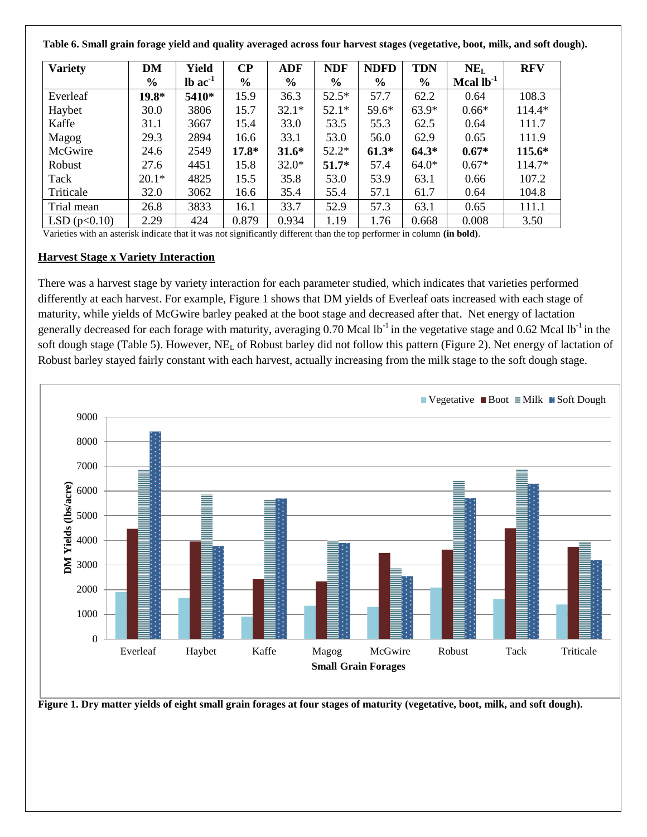**Table 6. Small grain forage yield and quality averaged across four harvest stages (vegetative, boot, milk, and soft dough).**

| <b>Variety</b> | <b>DM</b>     | Yield                 | $\bf CP$      | <b>ADF</b>    | <b>NDF</b>    | <b>NDFD</b>   | <b>TDN</b> | NE <sub>L</sub> | <b>RFV</b> |
|----------------|---------------|-----------------------|---------------|---------------|---------------|---------------|------------|-----------------|------------|
|                | $\frac{6}{6}$ | $lb$ ac <sup>-1</sup> | $\frac{0}{0}$ | $\frac{6}{9}$ | $\frac{6}{9}$ | $\frac{6}{6}$ | $\%$       | Mcal $lb^{-1}$  |            |
| Everleaf       | $19.8*$       | 5410*                 | 15.9          | 36.3          | $52.5*$       | 57.7          | 62.2       | 0.64            | 108.3      |
| Haybet         | 30.0          | 3806                  | 15.7          | $32.1*$       | $52.1*$       | 59.6*         | $63.9*$    | $0.66*$         | 114.4*     |
| Kaffe          | 31.1          | 3667                  | 15.4          | 33.0          | 53.5          | 55.3          | 62.5       | 0.64            | 111.7      |
| Magog          | 29.3          | 2894                  | 16.6          | 33.1          | 53.0          | 56.0          | 62.9       | 0.65            | 111.9      |
| McGwire        | 24.6          | 2549                  | $17.8*$       | $31.6*$       | $52.2*$       | $61.3*$       | $64.3*$    | $0.67*$         | $115.6*$   |
| Robust         | 27.6          | 4451                  | 15.8          | $32.0*$       | $51.7*$       | 57.4          | $64.0*$    | $0.67*$         | 114.7*     |
| Tack           | $20.1*$       | 4825                  | 15.5          | 35.8          | 53.0          | 53.9          | 63.1       | 0.66            | 107.2      |
| Triticale      | 32.0          | 3062                  | 16.6          | 35.4          | 55.4          | 57.1          | 61.7       | 0.64            | 104.8      |
| Trial mean     | 26.8          | 3833                  | 16.1          | 33.7          | 52.9          | 57.3          | 63.1       | 0.65            | 111.1      |
| LSD(p<0.10)    | 2.29          | 424                   | 0.879         | 0.934         | 1.19          | 1.76          | 0.668      | 0.008           | 3.50       |

Varieties with an asterisk indicate that it was not significantly different than the top performer in column **(in bold)**.

#### **Harvest Stage x Variety Interaction**

There was a harvest stage by variety interaction for each parameter studied, which indicates that varieties performed differently at each harvest. For example, Figure 1 shows that DM yields of Everleaf oats increased with each stage of maturity, while yields of McGwire barley peaked at the boot stage and decreased after that. Net energy of lactation generally decreased for each forage with maturity, averaging  $0.70$  Mcal lb<sup>-1</sup> in the vegetative stage and  $0.62$  Mcal lb<sup>-1</sup> in the soft dough stage (Table 5). However,  $NE<sub>L</sub>$  of Robust barley did not follow this pattern (Figure 2). Net energy of lactation of Robust barley stayed fairly constant with each harvest, actually increasing from the milk stage to the soft dough stage.



**Figure 1. Dry matter yields of eight small grain forages at four stages of maturity (vegetative, boot, milk, and soft dough).**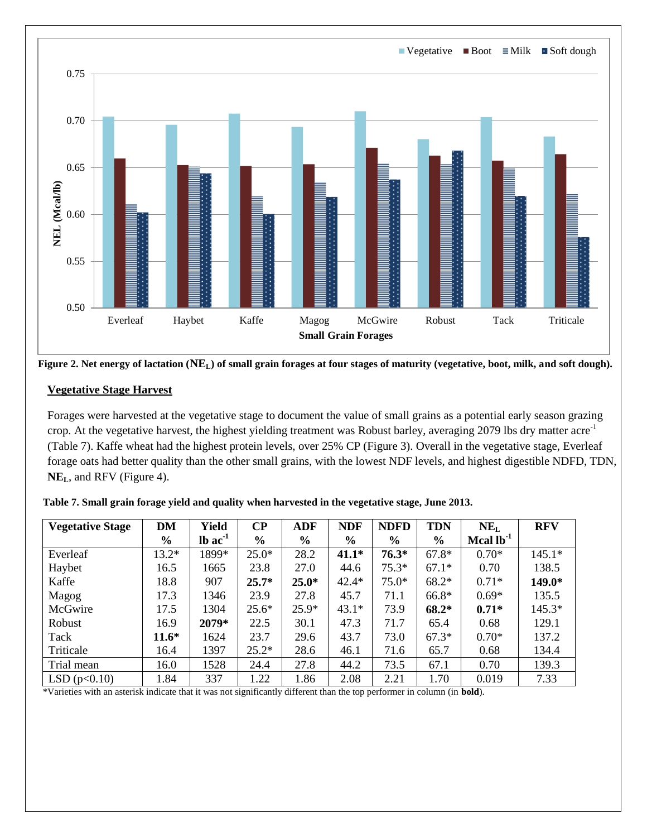

**Figure 2. Net energy of lactation (NEL) of small grain forages at four stages of maturity (vegetative, boot, milk, and soft dough).**

## **Vegetative Stage Harvest**

Forages were harvested at the vegetative stage to document the value of small grains as a potential early season grazing crop. At the vegetative harvest, the highest yielding treatment was Robust barley, averaging 2079 lbs dry matter acre<sup>-1</sup> (Table 7). Kaffe wheat had the highest protein levels, over 25% CP (Figure 3). Overall in the vegetative stage, Everleaf forage oats had better quality than the other small grains, with the lowest NDF levels, and highest digestible NDFD, TDN, **NEL**, and RFV (Figure 4).

| <b>Vegetative Stage</b> | <b>DM</b>     | Yield                 | <b>CP</b>     | <b>ADF</b>    | <b>NDF</b>    | <b>NDFD</b> | <b>TDN</b>    | NE <sub>L</sub> | <b>RFV</b> |
|-------------------------|---------------|-----------------------|---------------|---------------|---------------|-------------|---------------|-----------------|------------|
|                         | $\frac{0}{0}$ | $lb$ ac <sup>-1</sup> | $\frac{6}{6}$ | $\frac{0}{0}$ | $\frac{6}{9}$ | $\%$        | $\frac{6}{6}$ | Mcal $lb^{-1}$  |            |
| Everleaf                | $13.2*$       | 1899*                 | $25.0*$       | 28.2          | $41.1*$       | $76.3*$     | $67.8*$       | $0.70*$         | $145.1*$   |
| Haybet                  | 16.5          | 1665                  | 23.8          | 27.0          | 44.6          | $75.3*$     | $67.1*$       | 0.70            | 138.5      |
| Kaffe                   | 18.8          | 907                   | $25.7*$       | $25.0*$       | $42.4*$       | $75.0*$     | $68.2*$       | $0.71*$         | 149.0*     |
| Magog                   | 17.3          | 1346                  | 23.9          | 27.8          | 45.7          | 71.1        | 66.8*         | $0.69*$         | 135.5      |
| McGwire                 | 17.5          | 1304                  | $25.6*$       | $25.9*$       | $43.1*$       | 73.9        | 68.2*         | $0.71*$         | $145.3*$   |
| Robust                  | 16.9          | 2079*                 | 22.5          | 30.1          | 47.3          | 71.7        | 65.4          | 0.68            | 129.1      |
| Tack                    | $11.6*$       | 1624                  | 23.7          | 29.6          | 43.7          | 73.0        | $67.3*$       | $0.70*$         | 137.2      |
| Triticale               | 16.4          | 1397                  | $25.2*$       | 28.6          | 46.1          | 71.6        | 65.7          | 0.68            | 134.4      |
| Trial mean              | 16.0          | 1528                  | 24.4          | 27.8          | 44.2          | 73.5        | 67.1          | 0.70            | 139.3      |
| LSD(p<0.10)             | 1.84          | 337                   | 1.22          | 1.86          | 2.08          | 2.21        | 1.70          | 0.019           | 7.33       |

**Table 7. Small grain forage yield and quality when harvested in the vegetative stage, June 2013.**

\*Varieties with an asterisk indicate that it was not significantly different than the top performer in column (in **bold**).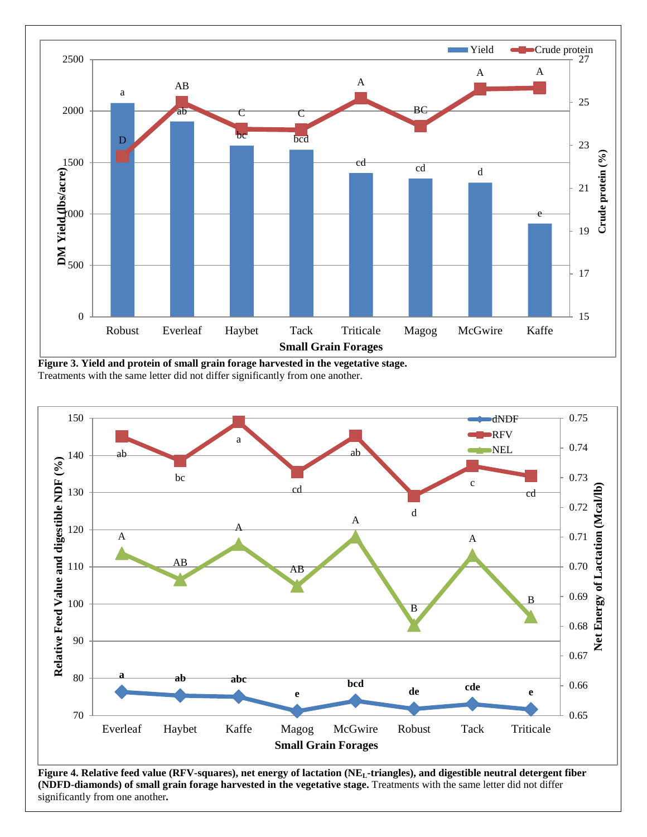

**Figure 3. Yield and protein of small grain forage harvested in the vegetative stage.**  Treatments with the same letter did not differ significantly from one another.



**Figure 4. Relative feed value (RFV-squares), net energy of lactation (NEL-triangles), and digestible neutral detergent fiber (NDFD-diamonds) of small grain forage harvested in the vegetative stage.** Treatments with the same letter did not differ significantly from one another*.*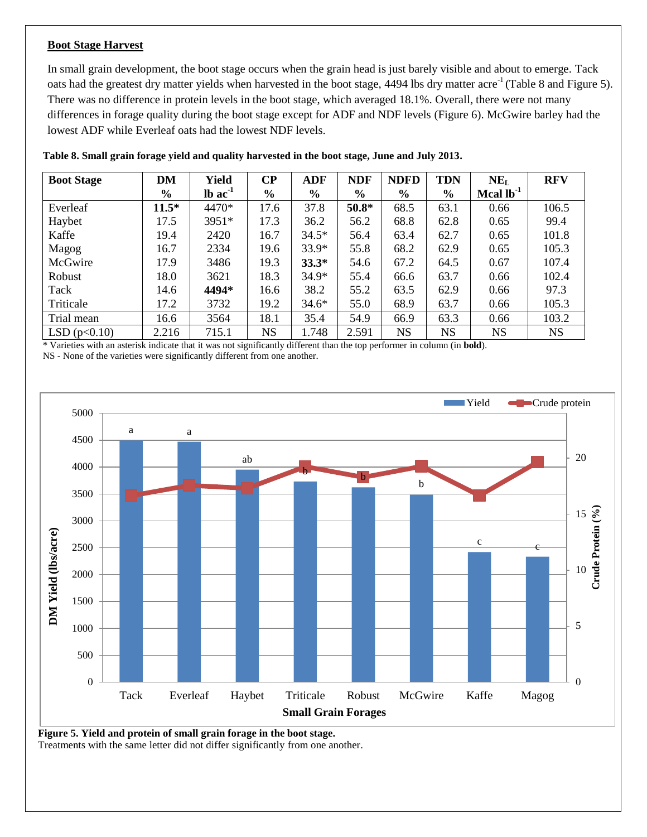#### **Boot Stage Harvest**

In small grain development, the boot stage occurs when the grain head is just barely visible and about to emerge. Tack oats had the greatest dry matter yields when harvested in the boot stage, 4494 lbs dry matter acre<sup>-1</sup> (Table 8 and Figure 5). There was no difference in protein levels in the boot stage, which averaged 18.1%. Overall, there were not many differences in forage quality during the boot stage except for ADF and NDF levels (Figure 6). McGwire barley had the lowest ADF while Everleaf oats had the lowest NDF levels.

| <b>Boot Stage</b> | <b>DM</b>     | Yield                 | $\bf CP$      | <b>ADF</b>    | <b>NDF</b>    | <b>NDFD</b>   | <b>TDN</b>    | $NE_{L}$       | <b>RFV</b> |
|-------------------|---------------|-----------------------|---------------|---------------|---------------|---------------|---------------|----------------|------------|
|                   | $\frac{0}{0}$ | $lb$ ac <sup>-1</sup> | $\frac{6}{9}$ | $\frac{6}{6}$ | $\frac{6}{9}$ | $\frac{6}{9}$ | $\frac{6}{9}$ | Mcal $lb^{-1}$ |            |
| Everleaf          | $11.5*$       | 4470*                 | 17.6          | 37.8          | $50.8*$       | 68.5          | 63.1          | 0.66           | 106.5      |
| Haybet            | 17.5          | 3951*                 | 17.3          | 36.2          | 56.2          | 68.8          | 62.8          | 0.65           | 99.4       |
| Kaffe             | 19.4          | 2420                  | 16.7          | $34.5*$       | 56.4          | 63.4          | 62.7          | 0.65           | 101.8      |
| Magog             | 16.7          | 2334                  | 19.6          | $33.9*$       | 55.8          | 68.2          | 62.9          | 0.65           | 105.3      |
| McGwire           | 17.9          | 3486                  | 19.3          | $33.3*$       | 54.6          | 67.2          | 64.5          | 0.67           | 107.4      |
| Robust            | 18.0          | 3621                  | 18.3          | $34.9*$       | 55.4          | 66.6          | 63.7          | 0.66           | 102.4      |
| Tack              | 14.6          | 4494*                 | 16.6          | 38.2          | 55.2          | 63.5          | 62.9          | 0.66           | 97.3       |
| Triticale         | 17.2          | 3732                  | 19.2          | $34.6*$       | 55.0          | 68.9          | 63.7          | 0.66           | 105.3      |
| Trial mean        | 16.6          | 3564                  | 18.1          | 35.4          | 54.9          | 66.9          | 63.3          | 0.66           | 103.2      |
| LSD(p<0.10)       | 2.216         | 715.1                 | <b>NS</b>     | 1.748         | 2.591         | <b>NS</b>     | <b>NS</b>     | <b>NS</b>      | <b>NS</b>  |

**Table 8. Small grain forage yield and quality harvested in the boot stage, June and July 2013.**

\* Varieties with an asterisk indicate that it was not significantly different than the top performer in column (in **bold**).

NS - None of the varieties were significantly different from one another.



**Figure 5. Yield and protein of small grain forage in the boot stage.** 

Treatments with the same letter did not differ significantly from one another.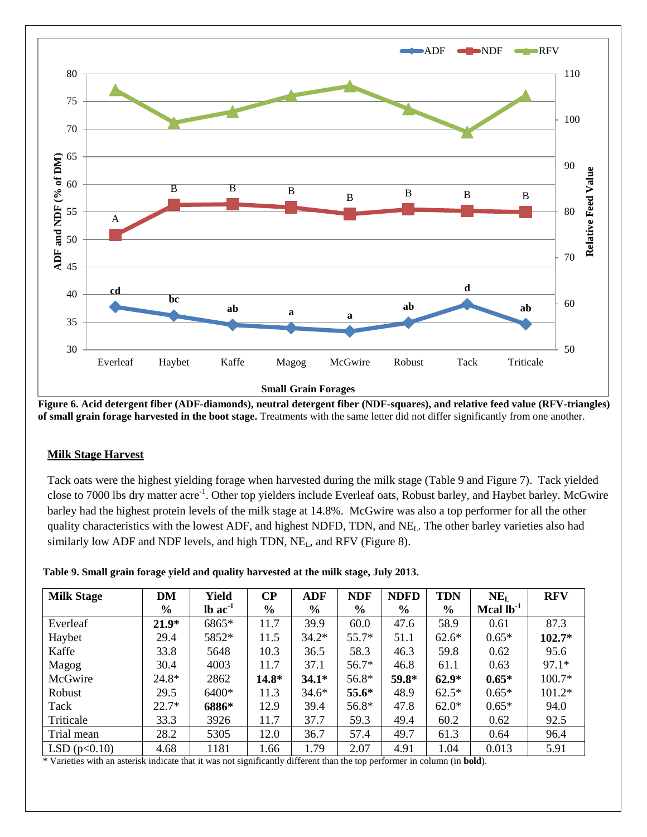

**Figure 6. Acid detergent fiber (ADF-diamonds), neutral detergent fiber (NDF-squares), and relative feed value (RFV-triangles) of small grain forage harvested in the boot stage.** Treatments with the same letter did not differ significantly from one another.

## **Milk Stage Harvest**

Tack oats were the highest yielding forage when harvested during the milk stage (Table 9 and Figure 7). Tack yielded close to 7000 lbs dry matter acre<sup>-1</sup>. Other top yielders include Everleaf oats, Robust barley, and Haybet barley. McGwire barley had the highest protein levels of the milk stage at 14.8%. McGwire was also a top performer for all the other quality characteristics with the lowest ADF, and highest NDFD, TDN, and NE<sub>L</sub>. The other barley varieties also had similarly low ADF and NDF levels, and high TDN, NE<sub>L</sub>, and RFV (Figure 8).

|  |  |  |  | Table 9. Small grain forage yield and quality harvested at the milk stage, July 2013. |  |
|--|--|--|--|---------------------------------------------------------------------------------------|--|
|  |  |  |  |                                                                                       |  |

| <b>Milk Stage</b> | <b>DM</b>     | Yield           | $\bf CP$      | <b>ADF</b>    | <b>NDF</b>    | <b>NDFD</b>   | <b>TDN</b> | NE <sub>L</sub> | <b>RFV</b> |
|-------------------|---------------|-----------------|---------------|---------------|---------------|---------------|------------|-----------------|------------|
|                   | $\frac{6}{9}$ | $lb$ ac $^{-1}$ | $\frac{6}{9}$ | $\frac{0}{0}$ | $\frac{6}{9}$ | $\frac{0}{0}$ | $\%$       | Mcal $lb^{-1}$  |            |
| Everleaf          | $21.9*$       | 6865*           | 11.7          | 39.9          | 60.0          | 47.6          | 58.9       | 0.61            | 87.3       |
| Haybet            | 29.4          | 5852*           | 11.5          | $34.2*$       | $55.7*$       | 51.1          | $62.6*$    | $0.65*$         | $102.7*$   |
| Kaffe             | 33.8          | 5648            | 10.3          | 36.5          | 58.3          | 46.3          | 59.8       | 0.62            | 95.6       |
| Magog             | 30.4          | 4003            | 11.7          | 37.1          | $56.7*$       | 46.8          | 61.1       | 0.63            | $97.1*$    |
| McGwire           | 24.8*         | 2862            | $14.8*$       | $34.1*$       | 56.8*         | 59.8*         | $62.9*$    | $0.65*$         | $100.7*$   |
| Robust            | 29.5          | 6400*           | 11.3          | $34.6*$       | 55.6*         | 48.9          | $62.5*$    | $0.65*$         | $101.2*$   |
| Tack              | $22.7*$       | 6886*           | 12.9          | 39.4          | 56.8*         | 47.8          | $62.0*$    | $0.65*$         | 94.0       |
| Triticale         | 33.3          | 3926            | 11.7          | 37.7          | 59.3          | 49.4          | 60.2       | 0.62            | 92.5       |
| Trial mean        | 28.2          | 5305            | 12.0          | 36.7          | 57.4          | 49.7          | 61.3       | 0.64            | 96.4       |
| LSD(p<0.10)       | 4.68          | 1181            | 1.66          | 1.79          | 2.07          | 4.91          | 1.04       | 0.013           | 5.91       |

\* Varieties with an asterisk indicate that it was not significantly different than the top performer in column (in **bold**).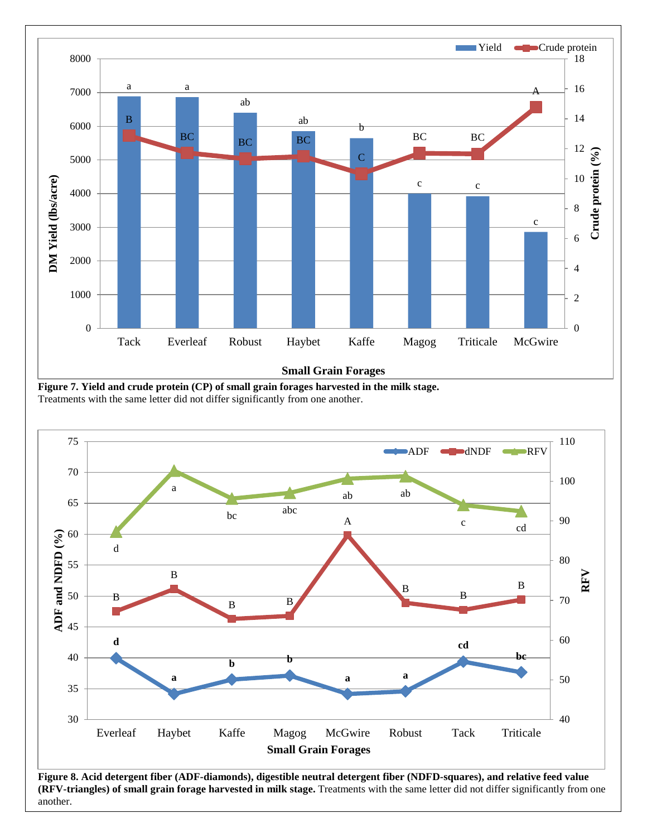

**Small Grain Forages**

**Figure 7. Yield and crude protein (CP) of small grain forages harvested in the milk stage.**  Treatments with the same letter did not differ significantly from one another.



**Figure 8. Acid detergent fiber (ADF-diamonds), digestible neutral detergent fiber (NDFD-squares), and relative feed value (RFV-triangles) of small grain forage harvested in milk stage.** Treatments with the same letter did not differ significantly from one another.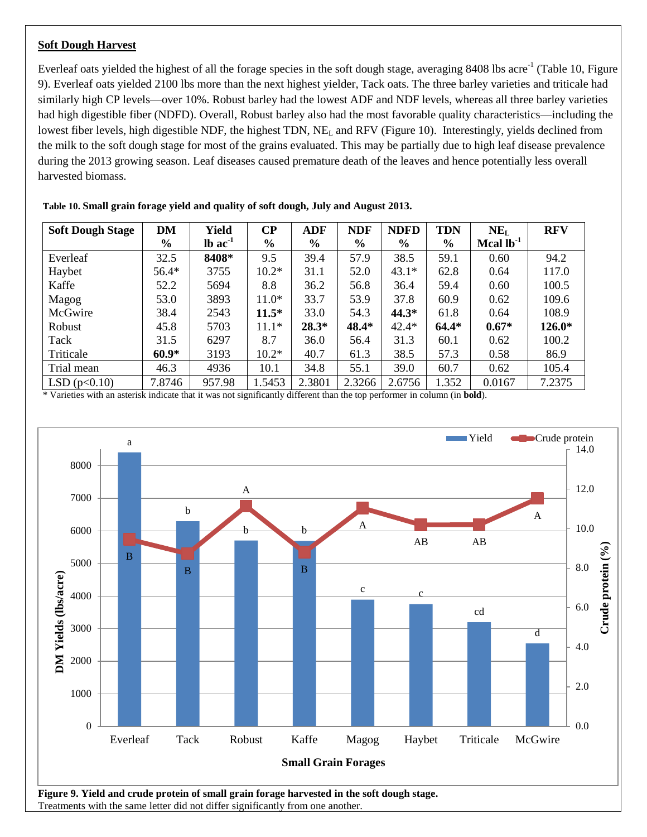#### **Soft Dough Harvest**

Everleaf oats yielded the highest of all the forage species in the soft dough stage, averaging  $8408$  lbs acre<sup>-1</sup> (Table 10, Figure 9). Everleaf oats yielded 2100 lbs more than the next highest yielder, Tack oats. The three barley varieties and triticale had similarly high CP levels—over 10%. Robust barley had the lowest ADF and NDF levels, whereas all three barley varieties had high digestible fiber (NDFD). Overall, Robust barley also had the most favorable quality characteristics—including the lowest fiber levels, high digestible NDF, the highest TDN, NE<sub>L</sub> and RFV (Figure 10). Interestingly, yields declined from the milk to the soft dough stage for most of the grains evaluated. This may be partially due to high leaf disease prevalence during the 2013 growing season. Leaf diseases caused premature death of the leaves and hence potentially less overall harvested biomass.

| <b>Soft Dough Stage</b> | DM            | Yield                 | $\bf CP$      | <b>ADF</b>    | <b>NDF</b>    | <b>NDFD</b>   | <b>TDN</b>    | NE <sub>L</sub> | <b>RFV</b> |
|-------------------------|---------------|-----------------------|---------------|---------------|---------------|---------------|---------------|-----------------|------------|
|                         | $\frac{0}{0}$ | $lb$ ac <sup>-1</sup> | $\frac{6}{6}$ | $\frac{6}{6}$ | $\frac{6}{9}$ | $\frac{6}{6}$ | $\frac{6}{6}$ | Mcal $lb^{-1}$  |            |
| Everleaf                | 32.5          | 8408*                 | 9.5           | 39.4          | 57.9          | 38.5          | 59.1          | 0.60            | 94.2       |
| Haybet                  | $56.4*$       | 3755                  | $10.2*$       | 31.1          | 52.0          | $43.1*$       | 62.8          | 0.64            | 117.0      |
| Kaffe                   | 52.2          | 5694                  | 8.8           | 36.2          | 56.8          | 36.4          | 59.4          | 0.60            | 100.5      |
| Magog                   | 53.0          | 3893                  | $11.0*$       | 33.7          | 53.9          | 37.8          | 60.9          | 0.62            | 109.6      |
| McGwire                 | 38.4          | 2543                  | $11.5*$       | 33.0          | 54.3          | $44.3*$       | 61.8          | 0.64            | 108.9      |
| Robust                  | 45.8          | 5703                  | $11.1*$       | $28.3*$       | 48.4*         | $42.4*$       | $64.4*$       | $0.67*$         | $126.0*$   |
| Tack                    | 31.5          | 6297                  | 8.7           | 36.0          | 56.4          | 31.3          | 60.1          | 0.62            | 100.2      |
| Triticale               | $60.9*$       | 3193                  | $10.2*$       | 40.7          | 61.3          | 38.5          | 57.3          | 0.58            | 86.9       |
| Trial mean              | 46.3          | 4936                  | 10.1          | 34.8          | 55.1          | 39.0          | 60.7          | 0.62            | 105.4      |
| LSD(p<0.10)             | 7.8746        | 957.98                | 1.5453        | 2.3801        | 2.3266        | 2.6756        | 1.352         | 0.0167          | 7.2375     |

**Table 10. Small grain forage yield and quality of soft dough, July and August 2013.**

\* Varieties with an asterisk indicate that it was not significantly different than the top performer in column (in **bold**).



Treatments with the same letter did not differ significantly from one another.